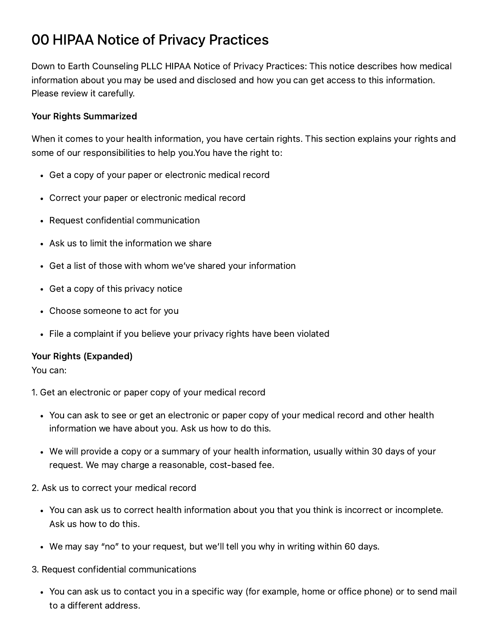# 00 HIPAA Notice of Privacy Practices

Down to Earth Counseling PLLC HIPAA Notice of Privacy Practices: This notice describes how medical information about you may be used and disclosed and how you can get access to this information. Please review it carefully.

### Your Rights Summarized

When it comes to your health information, you have certain rights. This section explains your rights and some of our responsibilities to help you.You have the right to:

- Get a copy of your paper or electronic medical record
- Correct your paper or electronic medical record
- Request confidential communication
- Ask us to limit the information we share
- Get a list of those with whom we've shared your information
- Get a copy of this privacy notice
- Choose someone to act for you
- File a complaint if you believe your privacy rights have been violated

#### Your Rights (Expanded)

You can:

- 1. Get an electronic or paper copy of your medical record
	- You can ask to see or get an electronic or paper copy of your medical record and other health information we have about you. Ask us how to do this.
	- We will provide a copy or a summary of your health information, usually within 30 days of your request. We may charge a reasonable, cost-based fee.
- 2. Ask us to correct your medical record
	- You can ask us to correct health information about you that you think is incorrect or incomplete. Ask us how to do this.
	- We may say "no" to your request, but we'll tell you why in writing within 60 days.

#### 3. Request confidential communications

You can ask us to contact you in a specific way (for example, home or office phone) or to send mail to a different address.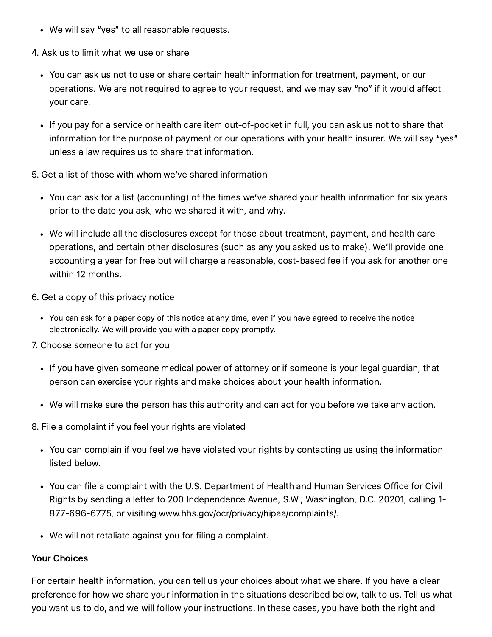We will say "yes" to all reasonable requests.

4. Ask us to limit what we use or share

- You can ask us not to use or share certain health information for treatment, payment, or our operations. We are not required to agree to your request, and we may say "no" if it would affect your care.
- If you pay for a service or health care item out-of-pocket in full, you can ask us not to share that information for the purpose of payment or our operations with your health insurer. We will say "yes" unless a law requires us to share that information.
- 5. Get a list of those with whom we've shared information
	- You can ask for a list (accounting) of the times we've shared your health information for six years prior to the date you ask, who we shared it with, and why.
	- We will include all the disclosures except for those about treatment, payment, and health care operations, and certain other disclosures (such as any you asked us to make). We'll provide one accounting a year for free but will charge a reasonable, cost-based fee if you ask for another one within 12 months.
- 6. Get a copy of this privacy notice
	- You can ask for a paper copy of this notice at any time, even if you have agreed to receive the notice electronically. We will provide you with a paper copy promptly.
- 7. Choose someone to act for you
	- If you have given someone medical power of attorney or if someone is your legal guardian, that person can exercise your rights and make choices about your health information.
	- We will make sure the person has this authority and can act for you before we take any action.

8. File a complaint if you feel your rights are violated

- You can complain if you feel we have violated your rights by contacting us using the information listed below.
- You can file a complaint with the U.S. Department of Health and Human Services Office for Civil Rights by sending a letter to 200 Independence Avenue, S.W., Washington, D.C. 20201, calling 1- 877-696-6775, or visiting www.hhs.gov/ocr/privacy/hipaa/complaints/.
- We will not retaliate against you for filing a complaint.

#### Your Choices

For certain health information, you can tell us your choices about what we share. If you have a clear preference for how we share your information in the situations described below, talk to us. Tell us what you want us to do, and we will follow your instructions. In these cases, you have both the right and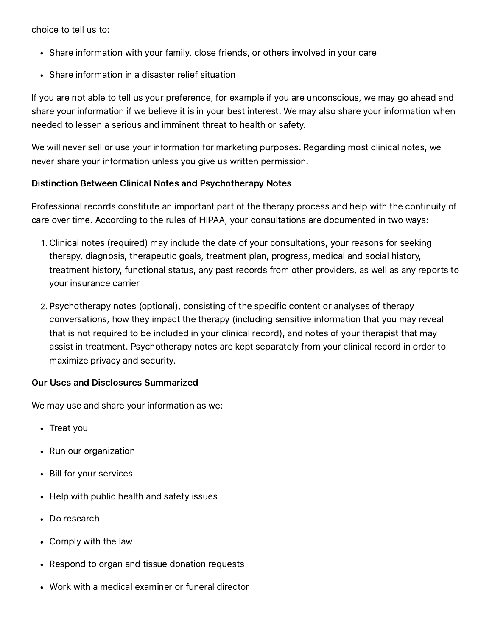choice to tell us to:

- Share information with your family, close friends, or others involved in your care
- Share information in a disaster relief situation

If you are not able to tell us your preference, for example if you are unconscious, we may go ahead and share your information if we believe it is in your best interest. We may also share your information when needed to lessen a serious and imminent threat to health or safety.

We will never sell or use your information for marketing purposes. Regarding most clinical notes, we never share your information unless you give us written permission.

#### Distinction Between Clinical Notes and Psychotherapy Notes

Professional records constitute an important part of the therapy process and help with the continuity of care over time. According to the rules of HIPAA, your consultations are documented in two ways:

- . Clinical notes (required) may include the date of your consultations, your reasons for seeking therapy, diagnosis, therapeutic goals, treatment plan, progress, medical and social history, treatment history, functional status, any past records from other providers, as well as any reports to your insurance carrier
- . Psychotherapy notes (optional), consisting of the specific content or analyses of therapy conversations, how they impact the therapy (including sensitive information that you may reveal that is not required to be included in your clinical record), and notes of your therapist that may assist in treatment. Psychotherapy notes are kept separately from your clinical record in order to maximize privacy and security.

#### Our Uses and Disclosures Summarized

We may use and share your information as we:

- Treat you
- Run our organization
- Bill for your services
- Help with public health and safety issues
- Do research
- Comply with the law
- Respond to organ and tissue donation requests
- Work with a medical examiner or funeral director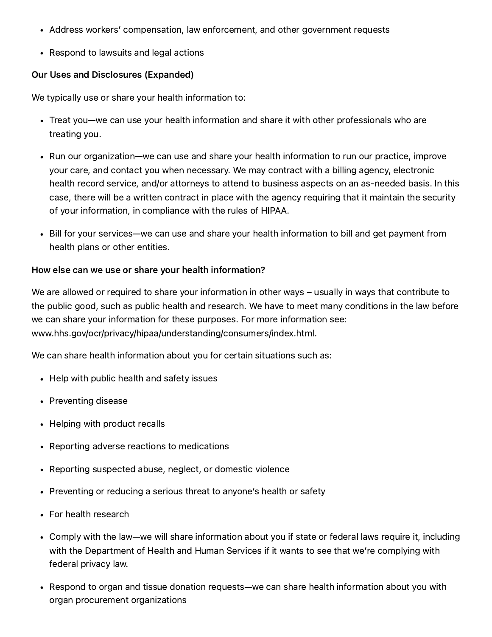- Address workers' compensation, law enforcement, and other government requests
- Respond to lawsuits and legal actions

## Our Uses and Disclosures (Expanded)

We typically use or share your health information to:

- Treat you—we can use your health information and share it with other professionals who are treating you.
- Run our organization—we can use and share your health information to run our practice, improve your care, and contact you when necessary. We may contract with a billing agency, electronic health record service, and/or attorneys to attend to business aspects on an as-needed basis. In this case, there will be a written contract in place with the agency requiring that it maintain the security of your information, in compliance with the rules of HIPAA.
- Bill for your services—we can use and share your health information to bill and get payment from health plans or other entities.

#### How else can we use or share your health information?

We are allowed or required to share your information in other ways – usually in ways that contribute to the public good, such as public health and research. We have to meet many conditions in the law before we can share your information for these purposes. For more information see: www.hhs.gov/ocr/privacy/hipaa/understanding/consumers/index.html.

We can share health information about you for certain situations such as:

- Help with public health and safety issues
- Preventing disease
- Helping with product recalls
- Reporting adverse reactions to medications
- Reporting suspected abuse, neglect, or domestic violence
- Preventing or reducing a serious threat to anyone's health or safety
- For health research
- Comply with the law—we will share information about you if state or federal laws require it, including with the Department of Health and Human Services if it wants to see that we're complying with federal privacy law.
- Respond to organ and tissue donation requests—we can share health information about you with organ procurement organizations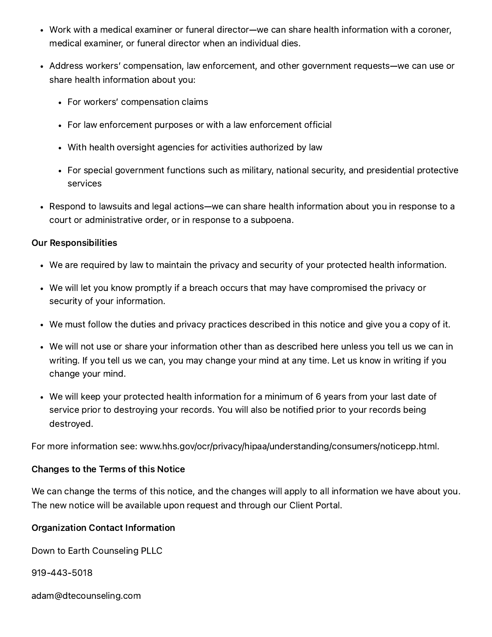- Work with a medical examiner or funeral director—we can share health information with a coroner, medical examiner, or funeral director when an individual dies.
- Address workers' compensation, law enforcement, and other government requests—we can use or share health information about you:
	- For workers' compensation claims
	- For law enforcement purposes or with a law enforcement official
	- With health oversight agencies for activities authorized by law
	- For special government functions such as military, national security, and presidential protective services
- Respond to lawsuits and legal actions—we can share health information about you in response to a court or administrative order, or in response to a subpoena.

#### Our Responsibilities

- We are required by law to maintain the privacy and security of your protected health information.
- We will let you know promptly if a breach occurs that may have compromised the privacy or security of your information.
- We must follow the duties and privacy practices described in this notice and give you a copy of it.
- We will not use or share your information other than as described here unless you tell us we can in writing. If you tell us we can, you may change your mind at any time. Let us know in writing if you change your mind.
- We will keep your protected health information for a minimum of 6 years from your last date of service prior to destroying your records. You will also be notified prior to your records being destroyed.

For more information see: www.hhs.gov/ocr/privacy/hipaa/understanding/consumers/noticepp.html.

#### Changes to the Terms of this Notice

We can change the terms of this notice, and the changes will apply to all information we have about you. The new notice will be available upon request and through our Client Portal.

#### Organization Contact Information

Down to Earth Counseling PLLC

919-443-5018

adam@dtecounseling.com